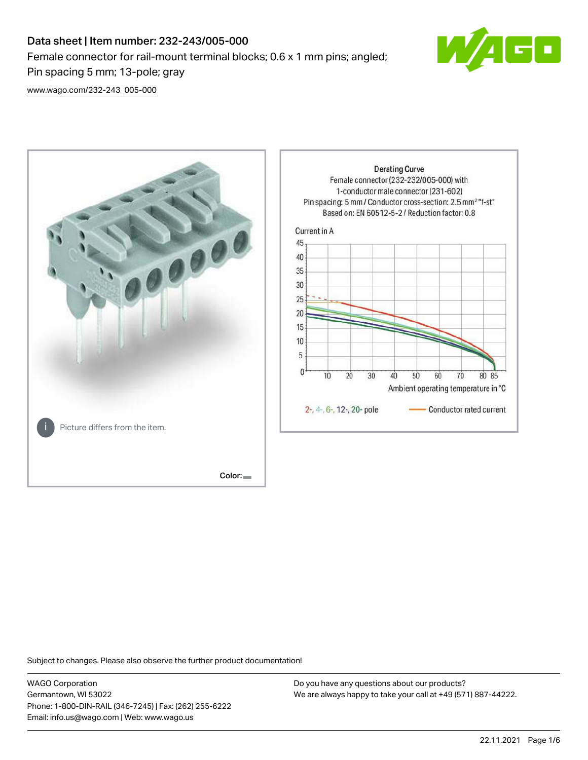# Data sheet | Item number: 232-243/005-000 Female connector for rail-mount terminal blocks; 0.6 x 1 mm pins; angled; Pin spacing 5 mm; 13-pole; gray



[www.wago.com/232-243\\_005-000](http://www.wago.com/232-243_005-000)



Subject to changes. Please also observe the further product documentation!

WAGO Corporation Germantown, WI 53022 Phone: 1-800-DIN-RAIL (346-7245) | Fax: (262) 255-6222 Email: info.us@wago.com | Web: www.wago.us

Do you have any questions about our products? We are always happy to take your call at +49 (571) 887-44222.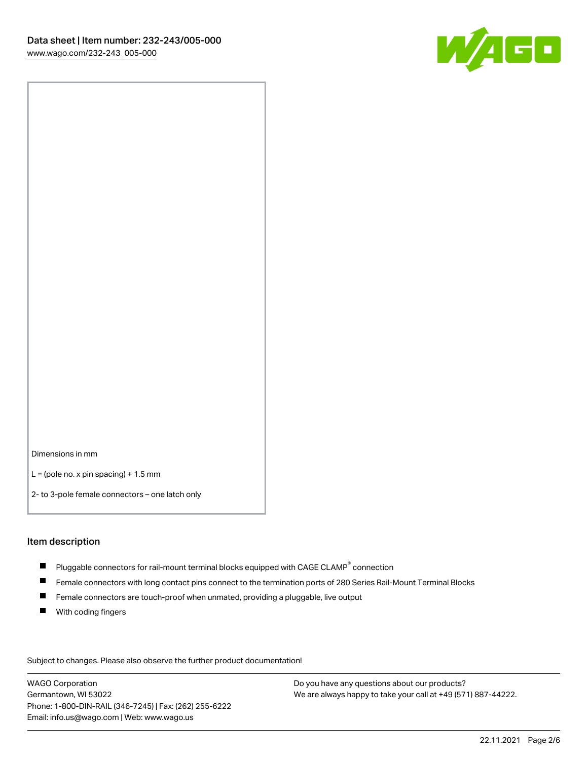

Dimensions in mm

 $L =$  (pole no. x pin spacing) + 1.5 mm

2- to 3-pole female connectors – one latch only

#### Item description

- $\blacksquare$  Pluggable connectors for rail-mount terminal blocks equipped with CAGE CLAMP $^\circ$  connection
- Female connectors with long contact pins connect to the termination ports of 280 Series Rail-Mount Terminal Blocks
- $\blacksquare$ Female connectors are touch-proof when unmated, providing a pluggable, live output
- $\blacksquare$ With coding fingers

Subject to changes. Please also observe the further product documentation! Data

WAGO Corporation Germantown, WI 53022 Phone: 1-800-DIN-RAIL (346-7245) | Fax: (262) 255-6222 Email: info.us@wago.com | Web: www.wago.us

Do you have any questions about our products? We are always happy to take your call at +49 (571) 887-44222.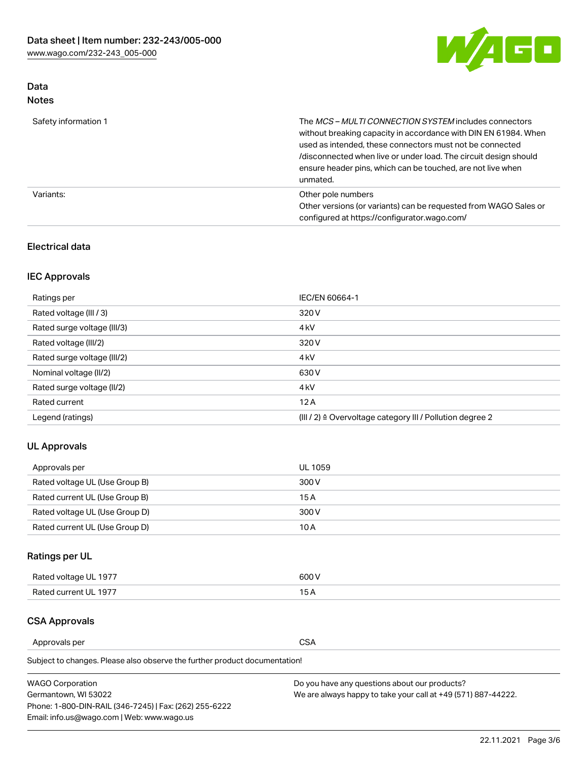

# Data Notes

| Safety information 1 | The MCS-MULTI CONNECTION SYSTEM includes connectors<br>without breaking capacity in accordance with DIN EN 61984. When<br>used as intended, these connectors must not be connected<br>/disconnected when live or under load. The circuit design should<br>ensure header pins, which can be touched, are not live when<br>unmated. |
|----------------------|-----------------------------------------------------------------------------------------------------------------------------------------------------------------------------------------------------------------------------------------------------------------------------------------------------------------------------------|
| Variants:            | Other pole numbers<br>Other versions (or variants) can be requested from WAGO Sales or<br>configured at https://configurator.wago.com/                                                                                                                                                                                            |

## Electrical data

## IEC Approvals

| Ratings per                 | IEC/EN 60664-1                                                        |
|-----------------------------|-----------------------------------------------------------------------|
| Rated voltage (III / 3)     | 320 V                                                                 |
| Rated surge voltage (III/3) | 4 <sub>k</sub> V                                                      |
| Rated voltage (III/2)       | 320 V                                                                 |
| Rated surge voltage (III/2) | 4 <sub>k</sub> V                                                      |
| Nominal voltage (II/2)      | 630 V                                                                 |
| Rated surge voltage (II/2)  | 4 <sub>k</sub> V                                                      |
| Rated current               | 12A                                                                   |
| Legend (ratings)            | $(III / 2)$ $\triangle$ Overvoltage category III / Pollution degree 2 |

## UL Approvals

| Approvals per                  | UL 1059 |
|--------------------------------|---------|
| Rated voltage UL (Use Group B) | 300 V   |
| Rated current UL (Use Group B) | 15 A    |
| Rated voltage UL (Use Group D) | 300 V   |
| Rated current UL (Use Group D) | 10 A    |

# Ratings per UL

| Rated voltage UL 1977 | 600 V |
|-----------------------|-------|
| Rated current UL 1977 | . .   |

#### CSA Approvals

Approvals per CSA

Subject to changes. Please also observe the further product documentation!

| <b>WAGO Corporation</b>                                | Do you have any questions about our products?                 |
|--------------------------------------------------------|---------------------------------------------------------------|
| Germantown, WI 53022                                   | We are always happy to take your call at +49 (571) 887-44222. |
| Phone: 1-800-DIN-RAIL (346-7245)   Fax: (262) 255-6222 |                                                               |
| Email: info.us@wago.com   Web: www.wago.us             |                                                               |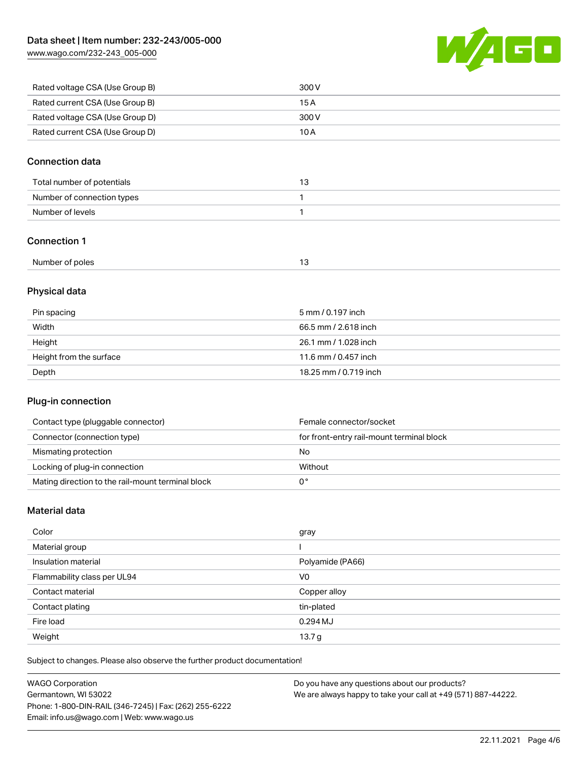[www.wago.com/232-243\\_005-000](http://www.wago.com/232-243_005-000)



| Rated voltage CSA (Use Group B) | 300 V |
|---------------------------------|-------|
| Rated current CSA (Use Group B) | 15 A  |
| Rated voltage CSA (Use Group D) | 300 V |
| Rated current CSA (Use Group D) | 10 A  |

## Connection data

| Total number of potentials |  |
|----------------------------|--|
| Number of connection types |  |
| Number of levels           |  |

## Connection 1

| Number of poles |  |
|-----------------|--|
|-----------------|--|

# Physical data

| Pin spacing             | 5 mm / 0.197 inch     |
|-------------------------|-----------------------|
| Width                   | 66.5 mm / 2.618 inch  |
| Height                  | 26.1 mm / 1.028 inch  |
| Height from the surface | 11.6 mm / 0.457 inch  |
| Depth                   | 18.25 mm / 0.719 inch |

## Plug-in connection

| Contact type (pluggable connector)                | Female connector/socket                   |
|---------------------------------------------------|-------------------------------------------|
| Connector (connection type)                       | for front-entry rail-mount terminal block |
| Mismating protection                              | No                                        |
| Locking of plug-in connection                     | Without                                   |
| Mating direction to the rail-mount terminal block |                                           |

## Material data

| Color                       | gray              |
|-----------------------------|-------------------|
| Material group              |                   |
| Insulation material         | Polyamide (PA66)  |
| Flammability class per UL94 | V <sub>0</sub>    |
| Contact material            | Copper alloy      |
| Contact plating             | tin-plated        |
| Fire load                   | 0.294MJ           |
| Weight                      | 13.7 <sub>g</sub> |

Subject to changes. Please also observe the further product documentation!

| <b>WAGO Corporation</b>                                | Do you have any questions about our products?                 |
|--------------------------------------------------------|---------------------------------------------------------------|
| Germantown, WI 53022                                   | We are always happy to take your call at +49 (571) 887-44222. |
| Phone: 1-800-DIN-RAIL (346-7245)   Fax: (262) 255-6222 |                                                               |
| Email: info.us@wago.com   Web: www.wago.us             |                                                               |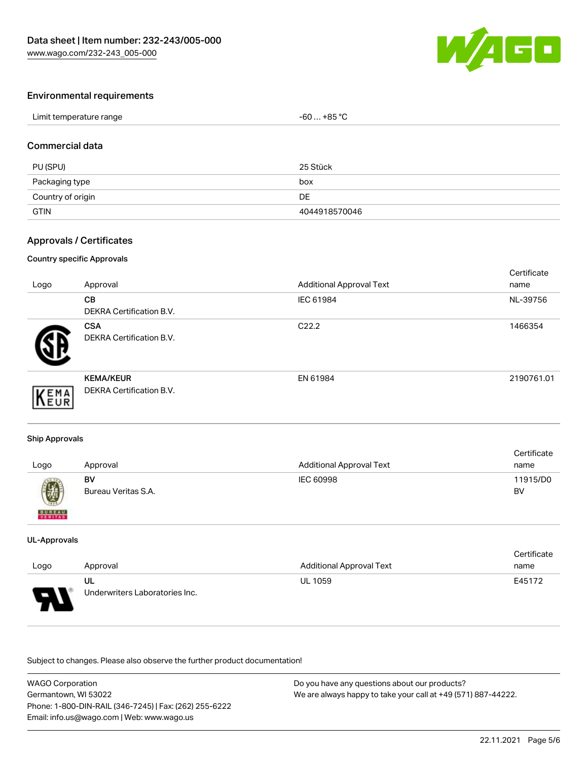

## Environmental requirements

| Limit temperature range | $-60+85 °C$ |
|-------------------------|-------------|
|-------------------------|-------------|

#### Commercial data

| PU (SPU)          | 25 Stück      |
|-------------------|---------------|
| Packaging type    | box           |
| Country of origin | DE            |
| <b>GTIN</b>       | 4044918570046 |

## Approvals / Certificates

#### Country specific Approvals

| Logo | Approval                                     | <b>Additional Approval Text</b> | Certificate<br>name |
|------|----------------------------------------------|---------------------------------|---------------------|
|      | CВ<br><b>DEKRA Certification B.V.</b>        | IEC 61984                       | NL-39756            |
|      | <b>CSA</b><br>DEKRA Certification B.V.       | C <sub>22.2</sub>               | 1466354             |
| EMA  | <b>KEMA/KEUR</b><br>DEKRA Certification B.V. | EN 61984                        | 2190761.01          |

#### Ship Approvals

| Logo                     | Approval                  | <b>Additional Approval Text</b> | Certificate<br>name |
|--------------------------|---------------------------|---------------------------------|---------------------|
| Ø                        | BV<br>Bureau Veritas S.A. | IEC 60998                       | 11915/D0<br>BV      |
| <b>BUREAU</b><br>VERITAS |                           |                                 |                     |

#### UL-Approvals

|          |                                      |                                 | Certificate |
|----------|--------------------------------------|---------------------------------|-------------|
| Logo     | Approval                             | <b>Additional Approval Text</b> | name        |
| J<br>. . | UL<br>Underwriters Laboratories Inc. | <b>UL 1059</b>                  | E45172      |

Subject to changes. Please also observe the further product documentation!

| <b>WAGO Corporation</b>                                | Do you have any questions about our products?                 |
|--------------------------------------------------------|---------------------------------------------------------------|
| Germantown, WI 53022                                   | We are always happy to take your call at +49 (571) 887-44222. |
| Phone: 1-800-DIN-RAIL (346-7245)   Fax: (262) 255-6222 |                                                               |
| Email: info.us@wago.com   Web: www.wago.us             |                                                               |